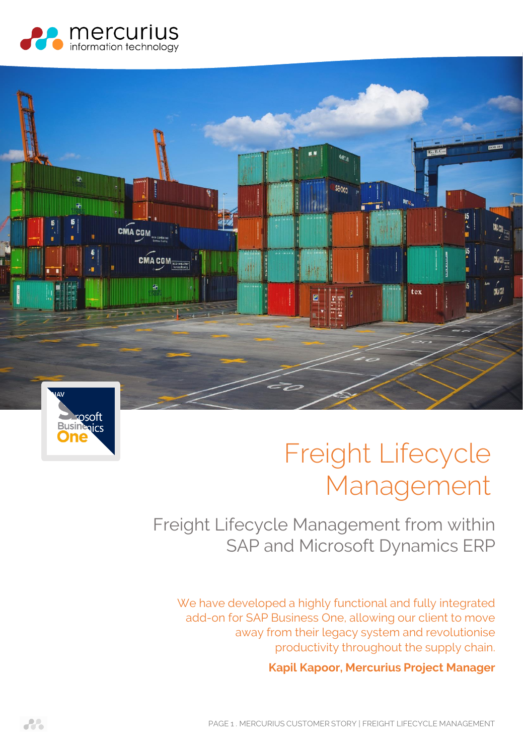





# Freight Lifecycle Management

# Freight Lifecycle Management from within SAP and Microsoft Dynamics ERP

We have developed a highly functional and fully integrated add-on for SAP Business One, allowing our client to move away from their legacy system and revolutionise productivity throughout the supply chain.

**Kapil Kapoor, Mercurius Project Manager**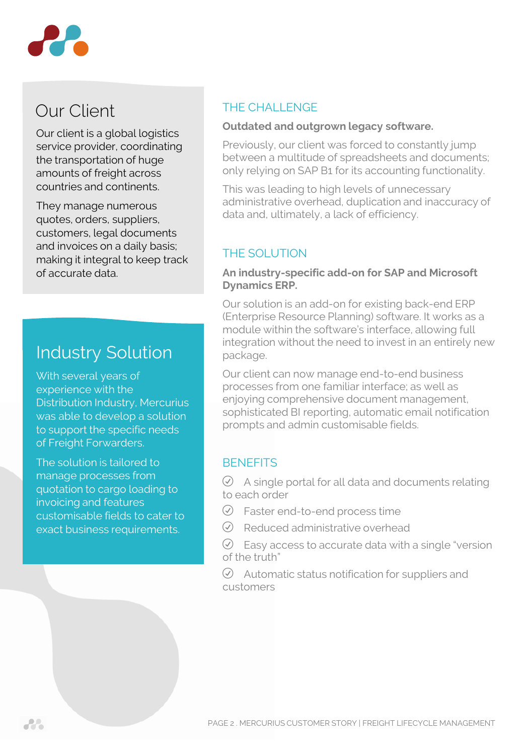

# Our Client

Our client is a global logistics service provider, coordinating the transportation of huge amounts of freight across countries and continents.

They manage numerous quotes, orders, suppliers, customers, legal documents and invoices on a daily basis; making it integral to keep track of accurate data.

# Industry Solution

With several years of experience with the Distribution Industry, Mercurius was able to develop a solution to support the specific needs of Freight Forwarders.

The solution is tailored to manage processes from quotation to cargo loading to invoicing and features customisable fields to cater to exact business requirements.

# THE CHALL ENGE

### **Outdated and outgrown legacy software.**

Previously, our client was forced to constantly jump between a multitude of spreadsheets and documents; only relying on SAP B1 for its accounting functionality.

This was leading to high levels of unnecessary administrative overhead, duplication and inaccuracy of data and, ultimately, a lack of efficiency.

# THE SOLUTION

#### **An industry-specific add-on for SAP and Microsoft Dynamics ERP.**

Our solution is an add-on for existing back-end ERP (Enterprise Resource Planning) software. It works as a module within the software's interface, allowing full integration without the need to invest in an entirely new package.

Our client can now manage end-to-end business processes from one familiar interface; as well as enjoying comprehensive document management, sophisticated BI reporting, automatic email notification prompts and admin customisable fields.

## **BENEFITS**

 $\oslash$  A single portal for all data and documents relating to each order

- $\oslash$  Faster end-to-end process time
- $\oslash$  Reduced administrative overhead
- $\heartsuit$  Easy access to accurate data with a single "version" of the truth"

 $\oslash$  Automatic status notification for suppliers and customers